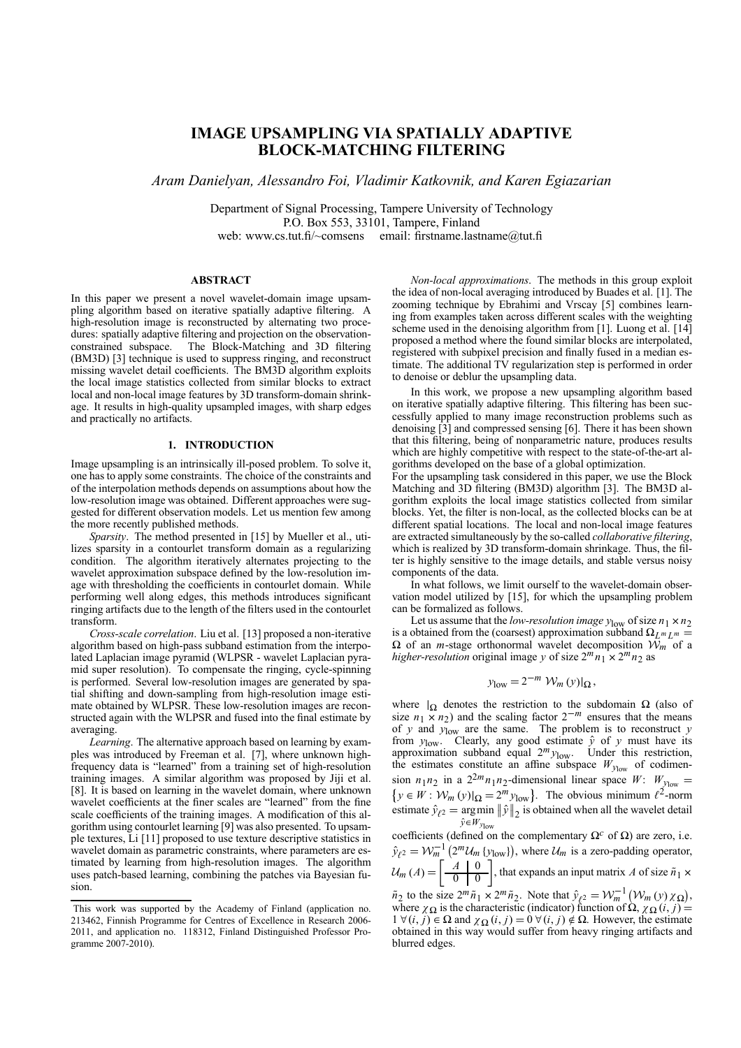## **IMAGE UPSAMPLING VIA SPATIALLY ADAPTIVE BLOCK-MATCHING FILTERING**

*Aram Danielyan, Alessandro Foi, Vladimir Katkovnik, and Karen Egiazarian*

Department of Signal Processing, Tampere University of Technology P.O. Box 553, 33101, Tampere, Finland web: www.cs.tut.fi/~comsens email: firstname.lastname@tut.fi

### **ABSTRACT**

In this paper we present a novel wavelet-domain image upsampling algorithm based on iterative spatially adaptive filtering. A high-resolution image is reconstructed by alternating two procedures: spatially adaptive filtering and projection on the observationconstrained subspace. The Block-Matching and 3D filtering (BM3D) [3] technique is used to suppress ringing, and reconstruct missing wavelet detail coefficients. The BM3D algorithm exploits the local image statistics collected from similar blocks to extract local and non-local image features by 3D transform-domain shrinkage. It results in high-quality upsampled images, with sharp edges and practically no artifacts.

#### **1. INTRODUCTION**

Image upsampling is an intrinsically ill-posed problem. To solve it, one has to apply some constraints. The choice of the constraints and of the interpolation methods depends on assumptions about how the low-resolution image was obtained. Different approaches were suggested for different observation models. Let us mention few among the more recently published methods.

*Sparsity*. The method presented in [15] by Mueller et al., utilizes sparsity in a contourlet transform domain as a regularizing condition. The algorithm iteratively alternates projecting to the wavelet approximation subspace defined by the low-resolution image with thresholding the coefficients in contourlet domain. While performing well along edges, this methods introduces significant ringing artifacts due to the length of the filters used in the contourlet transform.

*Cross-scale correlation*. Liu et al. [13] proposed a non-iterative algorithm based on high-pass subband estimation from the interpolated Laplacian image pyramid (WLPSR - wavelet Laplacian pyramid super resolution). To compensate the ringing, cycle-spinning is performed. Several low-resolution images are generated by spatial shifting and down-sampling from high-resolution image estimate obtained by WLPSR. These low-resolution images are reconstructed again with the WLPSR and fused into the final estimate by averaging.

*Learning*. The alternative approach based on learning by examples was introduced by Freeman et al. [7], where unknown highfrequency data is "learned" from a training set of high-resolution training images. A similar algorithm was proposed by Jiji et al. [8]. It is based on learning in the wavelet domain, where unknown wavelet coefficients at the finer scales are "learned" from the fine scale coefficients of the training images. A modification of this algorithm using contourlet learning [9] was also presented. To upsample textures, Li [11] proposed to use texture descriptive statistics in wavelet domain as parametric constraints, where parameters are estimated by learning from high-resolution images. The algorithm uses patch-based learning, combining the patches via Bayesian fusion.

*Non-local approximations*. The methods in this group exploit the idea of non-local averaging introduced by Buades et al. [1]. The zooming technique by Ebrahimi and Vrscay [5] combines learning from examples taken across different scales with the weighting scheme used in the denoising algorithm from [1]. Luong et al. [14] proposed a method where the found similar blocks are interpolated, registered with subpixel precision and finally fused in a median estimate. The additional TV regularization step is performed in order to denoise or deblur the upsampling data.

In this work, we propose a new upsampling algorithm based on iterative spatially adaptive filtering. This filtering has been successfully applied to many image reconstruction problems such as denoising [3] and compressed sensing [6]. There it has been shown that this filtering, being of nonparametric nature, produces results which are highly competitive with respect to the state-of-the-art algorithms developed on the base of a global optimization.

For the upsampling task considered in this paper, we use the Block Matching and 3D filtering (BM3D) algorithm [3]. The BM3D algorithm exploits the local image statistics collected from similar blocks. Yet, the filter is non-local, as the collected blocks can be at different spatial locations. The local and non-local image features are extracted simultaneously by the so-called *collaborative filtering*, which is realized by 3D transform-domain shrinkage. Thus, the filter is highly sensitive to the image details, and stable versus noisy components of the data.

In what follows, we limit ourself to the wavelet-domain observation model utilized by [15], for which the upsampling problem can be formalized as follows.

Let us assume that the *low-resolution image*  $y_{\text{low}}$  of size  $n_1 \times n_2$ is a obtained from the (coarsest) approximation subband  $\Omega_{L^m L^m} =$  $\Omega$  of an *m*-stage orthonormal wavelet decomposition  $W_m$  of a *higher-resolution* original image *y* of size  $2^m n_1 \times 2^m n_2$  as

$$
y_{\text{low}} = 2^{-m} \mathcal{W}_m(y)|_{\Omega},
$$

where  $|_{\Omega}$  denotes the restriction to the subdomain  $\Omega$  (also of size *n*<sub>1</sub> × *n*<sub>2</sub>) and the scaling factor 2<sup>−*m*</sup> ensures that the means of *y* and *y*low are the same. The problem is to reconstruct *y* from  $y_{low}$ . Clearly, any good estimate  $\hat{y}$  of  $y$  must have its approximation subband equal  $2^m y_{low}$ . Under this restriction, the estimates constitute an affine subspace  $W_{y_{low}}$  of codimension *n*<sub>1</sub>*n*<sub>2</sub> in a 2<sup>2*m*</sup>*n*<sub>1</sub>*n*<sub>2</sub>-dimensional linear space *W*:  $W_{y_{low}} =$ <br>{ $y \in W : W_m(y)|_{\Omega} = 2^m y_{low}$ }. The obvious minimum  $\ell^2$ -norm estimate  $\hat{y}_{\ell^2} = \argmin_{\hat{\theta} \in \mathbb{R}^n}$  $\hat{y} \in W_{y_{\text{low}}}$  $\|\hat{y}\|_2$  is obtained when all the wavelet detail

coefficients (defined on the complementary  $\Omega^c$  of  $\Omega$ ) are zero, i.e.  $\hat{y}_{\ell^2} = \mathcal{W}_m^{-1} (2^m \mathcal{U}_m \{y_{\text{low}}\})$ , where  $\mathcal{U}_m$  is a zero-padding operator,  $\mathcal{U}_m(A) = \begin{bmatrix} A & 0 \\ \hline 0 & 0 \end{bmatrix}$  $\frac{d}{d} \left| \frac{0}{0} \right|$ , that expands an input matrix *A* of size  $\tilde{n}_1 \times$ '

 $\tilde{n}_2$  to the size  $2^m \tilde{n}_1 \times 2^m \tilde{n}_2$ . Note that  $\hat{y}_{\ell^2} = \mathcal{W}_m^{-1} (\mathcal{W}_m(y) \chi_{\Omega})$ , where  $\chi_{\Omega}$  is the characteristic (indicator) function of  $\Omega$ ,  $\chi_{\Omega}$  (*i*, *j*) =  $1 \forall (i, j) \in \Omega$  and  $\chi_{\Omega}(i, j) = 0 \forall (i, j) \notin \Omega$ . However, the estimate obtained in this way would suffer from heavy ringing artifacts and blurred edges.

This work was supported by the Academy of Finland (application no. 213462, Finnish Programme for Centres of Excellence in Research 2006- 2011, and application no. 118312, Finland Distinguished Professor Programme 2007-2010).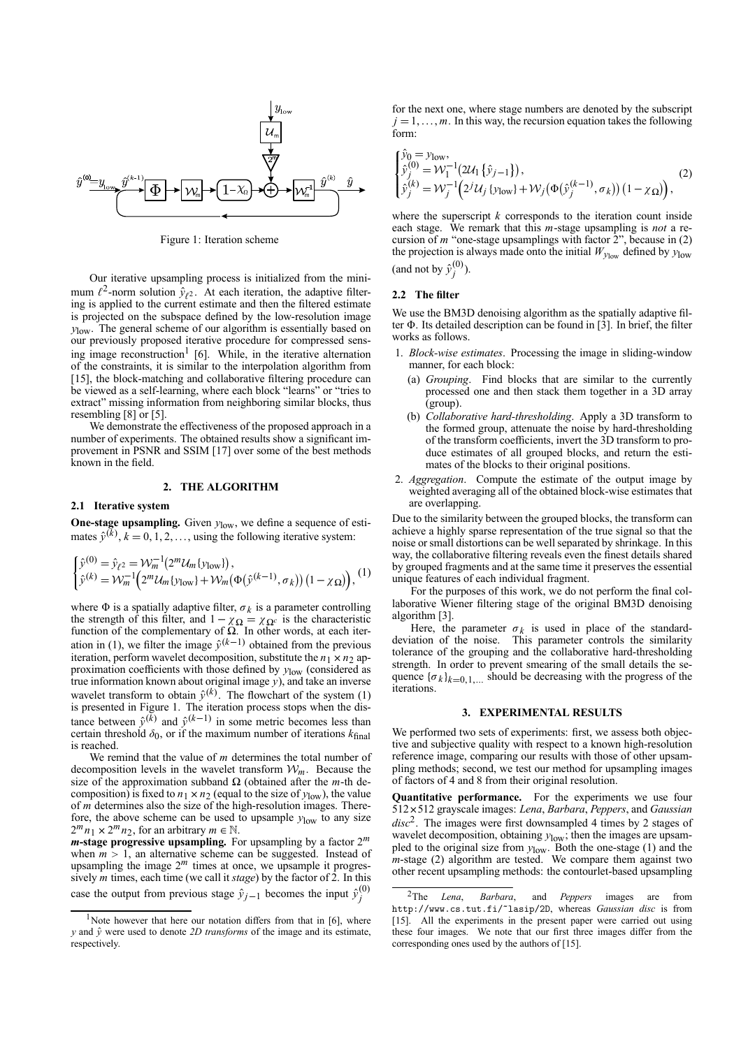

Figure 1: Iteration scheme

Our iterative upsampling process is initialized from the minimum  $\ell^2$ -norm solution  $\hat{y}_{\ell^2}$ . At each iteration, the adaptive filtering is applied to the current estimate and then the filtered estimate is projected on the subspace defined by the low-resolution image *y*low. The general scheme of our algorithm is essentially based on our previously proposed iterative procedure for compressed sensing image reconstruction<sup>1</sup> [6]. While, in the iterative alternation of the constraints, it is similar to the interpolation algorithm from [15], the block-matching and collaborative filtering procedure can be viewed as a self-learning, where each block "learns" or "tries to extract" missing information from neighboring similar blocks, thus resembling [8] or [5].

We demonstrate the effectiveness of the proposed approach in a number of experiments. The obtained results show a significant improvement in PSNR and SSIM [17] over some of the best methods known in the field.

## **2. THE ALGORITHM**

#### **2.1 Iterative system**

**One-stage upsampling.** Given  $y_{\text{low}}$ , we define a sequence of estimates  $\hat{y}^{(k)}$ ,  $k = 0, 1, 2, \ldots$ , using the following iterative system:

$$
\begin{cases} \hat{y}^{(0)} = \hat{y}_{\ell^2} = \mathcal{W}_m^{-1} (2^m \mathcal{U}_m \{y_{\text{low}}\}), \\ \hat{y}^{(k)} = \mathcal{W}_m^{-1} (2^m \mathcal{U}_m \{y_{\text{low}}\} + \mathcal{W}_m (\Phi(\hat{y}^{(k-1)}, \sigma_k)) (1 - \chi_{\Omega})), \end{cases} (1)
$$

where  $\Phi$  is a spatially adaptive filter,  $\sigma_k$  is a parameter controlling the strength of this filter, and  $1 - \chi_{\Omega} = \chi_{\Omega^c}$  is the characteristic function of the complementary of  $\Omega$ . In other words, at each iteration in (1), we filter the image  $\hat{y}^{(k-1)}$  obtained from the previous iteration, perform wavelet decomposition, substitute the  $n_1 \times n_2$  approximation coefficients with those defined by *y*low (considered as true information known about original image *y*), and take an inverse wavelet transform to obtain  $\hat{y}^{(k)}$ . The flowchart of the system (1) is presented in Figure 1. The iteration process stops when the distance between  $\hat{y}^{(\vec{k})}$  and  $\hat{y}^{(k-1)}$  in some metric becomes less than certain threshold  $\delta_0$ , or if the maximum number of iterations  $k_{\text{final}}$ is reached.

We remind that the value of *m* determines the total number of decomposition levels in the wavelet transform  $\mathcal{W}_m$ . Because the size of the approximation subband  $\Omega$  (obtained after the *m*-th decomposition) is fixed to  $n_1 \times n_2$  (equal to the size of  $y_{\text{low}}$ ), the value of *m* determines also the size of the high-resolution images. Therefore, the above scheme can be used to upsample *y*low to any size  $2^m n_1 \times 2^m n_2$ , for an arbitrary  $m \in \mathbb{N}$ .

*m***-stage progressive upsampling.** For upsampling by a factor 2*<sup>m</sup>* when  $m > 1$ , an alternative scheme can be suggested. Instead of upsampling the image  $2^m$  times at once, we upsample it progressively *m* times, each time (we call it *stage*) by the factor of 2. In this case the output from previous stage  $\hat{y}_{j-1}$  becomes the input  $\hat{y}^{(0)}_j$ 

for the next one, where stage numbers are denoted by the subscript  $j = 1, \ldots, m$ . In this way, the recursion equation takes the following form:

$$
\begin{cases}\n\hat{y}_0 = y_{\text{low}}, \n\hat{y}_j^{(0)} = \mathcal{W}_1^{-1}(2\mathcal{U}_1 \{\hat{y}_{j-1}\}), \n\hat{y}_j^{(k)} = \mathcal{W}_j^{-1}(2^j\mathcal{U}_j \{y_{\text{low}}\} + \mathcal{W}_j(\Phi(\hat{y}_j^{(k-1)}, \sigma_k)) (1 - \chi_{\Omega})\},\n\end{cases}
$$
\n(2)

where the superscript *k* corresponds to the iteration count inside each stage. We remark that this *m*-stage upsampling is *not* a recursion of  $m$  "one-stage upsamplings with factor  $2$ ", because in (2) the projection is always made onto the initial  $W_{\text{Vlow}}$  defined by  $y_{\text{low}}$ (and not by  $\hat{y}_j^{(0)}$ ).

## **2.2 The filter**

We use the BM3D denoising algorithm as the spatially adaptive filter  $\Phi$ . Its detailed description can be found in [3]. In brief, the filter works as follows.

- 1. *Block-wise estimates*. Processing the image in sliding-window manner, for each block:
	- (a) *Grouping*. Find blocks that are similar to the currently processed one and then stack them together in a 3D array (group).
	- (b) *Collaborative hard-thresholding*. Apply a 3D transform to the formed group, attenuate the noise by hard-thresholding of the transform coefficients, invert the 3D transform to produce estimates of all grouped blocks, and return the estimates of the blocks to their original positions.
- 2. *Aggregation*. Compute the estimate of the output image by weighted averaging all of the obtained block-wise estimates that are overlapping.

Due to the similarity between the grouped blocks, the transform can achieve a highly sparse representation of the true signal so that the noise or small distortions can be well separated by shrinkage. In this way, the collaborative filtering reveals even the finest details shared by grouped fragments and at the same time it preserves the essential unique features of each individual fragment.

For the purposes of this work, we do not perform the final collaborative Wiener filtering stage of the original BM3D denoising algorithm [3].

Here, the parameter  $\sigma_k$  is used in place of the standarddeviation of the noise. This parameter controls the similarity tolerance of the grouping and the collaborative hard-thresholding strength. In order to prevent smearing of the small details the sequence  ${\{\sigma_k\}}_{k=0,1,\dots}$  should be decreasing with the progress of the iterations.

## **3. EXPERIMENTAL RESULTS**

We performed two sets of experiments: first, we assess both objective and subjective quality with respect to a known high-resolution reference image, comparing our results with those of other upsampling methods; second, we test our method for upsampling images of factors of 4 and 8 from their original resolution.

**Quantitative performance.** For the experiments we use four <sup>512</sup>×512 grayscale images: *Lena*, *Barbara*, *Peppers*, and *Gaussian disc*2. The images were first downsampled 4 times by 2 stages of wavelet decomposition, obtaining  $y_{\text{low}}$ ; then the images are upsampled to the original size from *y*low. Both the one-stage (1) and the *m*-stage (2) algorithm are tested. We compare them against two other recent upsampling methods: the contourlet-based upsampling

<sup>&</sup>lt;sup>1</sup>Note however that here our notation differs from that in [6], where *<sup>y</sup>* and *<sup>y</sup>*<sup>ˆ</sup> were used to denote *2D transforms* of the image and its estimate, **respectively.** 

<sup>2</sup>The *Lena*, *Barbara*, and *Peppers* images are from http://www.cs.tut.fi/~lasip/2D, whereas *Gaussian disc* is from [15]. All the experiments in the present paper were carried out using these four images. We note that our first three images differ from the corresponding ones used by the authors of [15].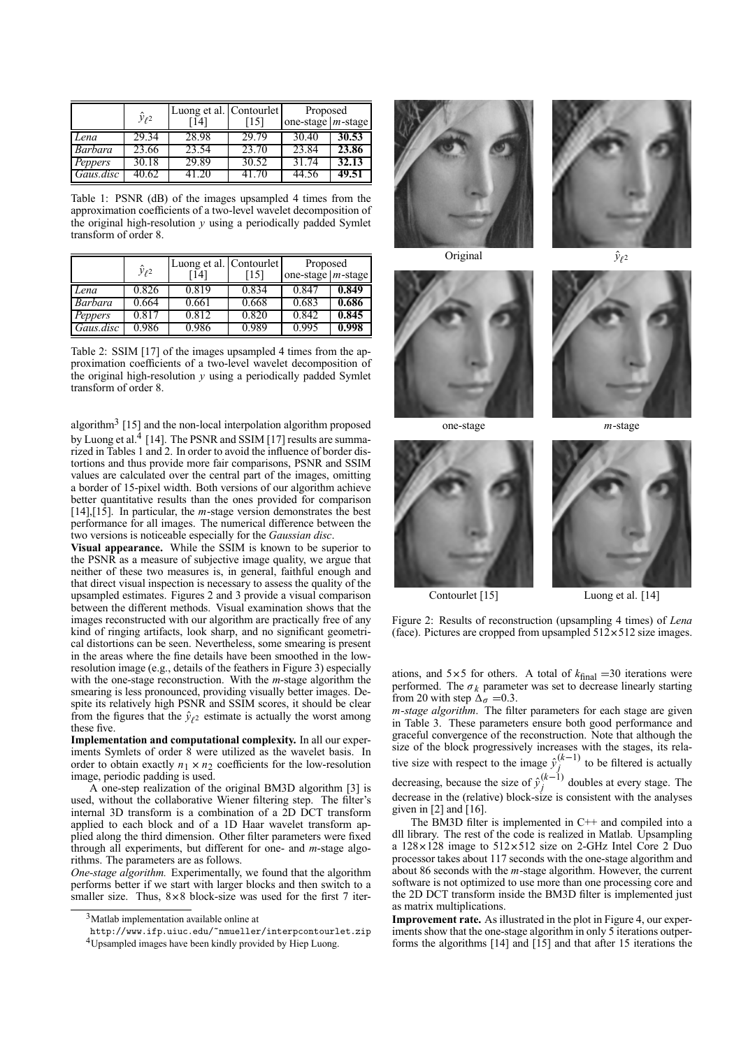|           | $\hat{y}_{\ell^2}$ | Luong et al. Contourlet |       | Proposed              |       |
|-----------|--------------------|-------------------------|-------|-----------------------|-------|
|           |                    | 14                      | 15    | one-stage $ m$ -stage |       |
| Lena      | 29.34              | 28.98                   | 29.79 | 30.40                 | 30.53 |
| Barbara   | 23.66              | 23.54                   | 23.70 | 23.84                 | 23.86 |
| Peppers   | 30.18              | 29.89                   | 30.52 | 31.74                 | 32.13 |
| Gaus.disc | 40.62              |                         | 41 70 |                       | 49.51 |

Table 1: PSNR (dB) of the images upsampled 4 times from the approximation coefficients of a two-level wavelet decomposition of the original high-resolution *y* using a periodically padded Symlet transform of order 8.

|           | $\hat{y}_{\ell^2}$ | Luong et al.   Contourlet |       | Proposed               |       |
|-----------|--------------------|---------------------------|-------|------------------------|-------|
|           |                    | 14                        | [15]  | one-stage   $m$ -stage |       |
| Lena      | 0.826              | 0.819                     | 0.834 | 0.841                  | 0.849 |
| Barbara   | ).664              | 0.661                     | 0.668 | 0.683                  | 0.686 |
| Peppers   | 0.817              | 0.812                     | 0.820 | 0.842                  | 0.845 |
| Gaus.disc | $+986$             | 0.986                     | 0.989 | 0.995                  | 0.998 |

Table 2: SSIM [17] of the images upsampled 4 times from the approximation coefficients of a two-level wavelet decomposition of the original high-resolution *y* using a periodically padded Symlet transform of order 8.

algorithm<sup>3</sup> [15] and the non-local interpolation algorithm proposed by Luong et al.<sup>4</sup> [14]. The PSNR and SSIM [17] results are summarized in Tables 1 and 2. In order to avoid the influence of border distortions and thus provide more fair comparisons, PSNR and SSIM values are calculated over the central part of the images, omitting a border of 15-pixel width. Both versions of our algorithm achieve better quantitative results than the ones provided for comparison [14],[15]. In particular, the *m*-stage version demonstrates the best performance for all images. The numerical difference between the two versions is noticeable especially for the *Gaussian disc*.

**Visual appearance.** While the SSIM is known to be superior to the PSNR as a measure of subjective image quality, we argue that neither of these two measures is, in general, faithful enough and that direct visual inspection is necessary to assess the quality of the upsampled estimates. Figures 2 and 3 provide a visual comparison between the different methods. Visual examination shows that the images reconstructed with our algorithm are practically free of any kind of ringing artifacts, look sharp, and no significant geometrical distortions can be seen. Nevertheless, some smearing is present in the areas where the fine details have been smoothed in the lowresolution image (e.g., details of the feathers in Figure 3) especially with the one-stage reconstruction. With the *m*-stage algorithm the smearing is less pronounced, providing visually better images. Despite its relatively high PSNR and SSIM scores, it should be clear from the figures that the  $\hat{y}_{\ell^2}$  estimate is actually the worst among these five.

**Implementation and computational complexity.** In all our experiments Symlets of order 8 were utilized as the wavelet basis. In order to obtain exactly  $n_1 \times n_2$  coefficients for the low-resolution image, periodic padding is used.

A one-step realization of the original BM3D algorithm [3] is used, without the collaborative Wiener filtering step. The filter's internal 3D transform is a combination of a 2D DCT transform applied to each block and of a 1D Haar wavelet transform applied along the third dimension. Other filter parameters were fixed through all experiments, but different for one- and *m*-stage algorithms. The parameters are as follows.

*One-stage algorithm.* Experimentally, we found that the algorithm performs better if we start with larger blocks and then switch to a smaller size. Thus,  $8 \times 8$  block-size was used for the first 7 iter-





Original  $\hat{y}_{\ell^2}$ 













Contourlet [15] Luong et al. [14]

Figure 2: Results of reconstruction (upsampling 4 times) of *Lena* (face). Pictures are cropped from upsampled  $512 \times 512$  size images.

ations, and  $5 \times 5$  for others. A total of  $k_{final} = 30$  iterations were performed. The  $\sigma_k$  parameter was set to decrease linearly starting from 20 with step  $\Delta_{\sigma} = 0.3$ .

*m-stage algorithm*. The filter parameters for each stage are given in Table 3. These parameters ensure both good performance and graceful convergence of the reconstruction. Note that although the size of the block progressively increases with the stages, its relative size with respect to the image  $\hat{y}^{(k-1)}_j$  to be filtered is actually decreasing, because the size of  $\hat{y}^{(k-1)}_j$  doubles at every stage. The decrease in the (relative) block-size is consistent with the analyses given in  $[2]$  and  $[16]$ .

The BM3D filter is implemented in C++ and compiled into a dll library. The rest of the code is realized in Matlab. Upsampling a  $128 \times 128$  image to  $512 \times 512$  size on 2-GHz Intel Core 2 Duo processor takes about 117 seconds with the one-stage algorithm and about 86 seconds with the *m*-stage algorithm. However, the current software is not optimized to use more than one processing core and the 2D DCT transform inside the BM3D filter is implemented just as matrix multiplications.

**Improvement rate.** As illustrated in the plot in Figure 4, our experiments show that the one-stage algorithm in only 5 iterations outperforms the algorithms [14] and [15] and that after 15 iterations the

<sup>3</sup>Matlab implementation available online at

http://www.ifp.uiuc.edu/~nmueller/interpcontourlet.zip

<sup>&</sup>lt;sup>4</sup>Upsampled images have been kindly provided by Hiep Luong.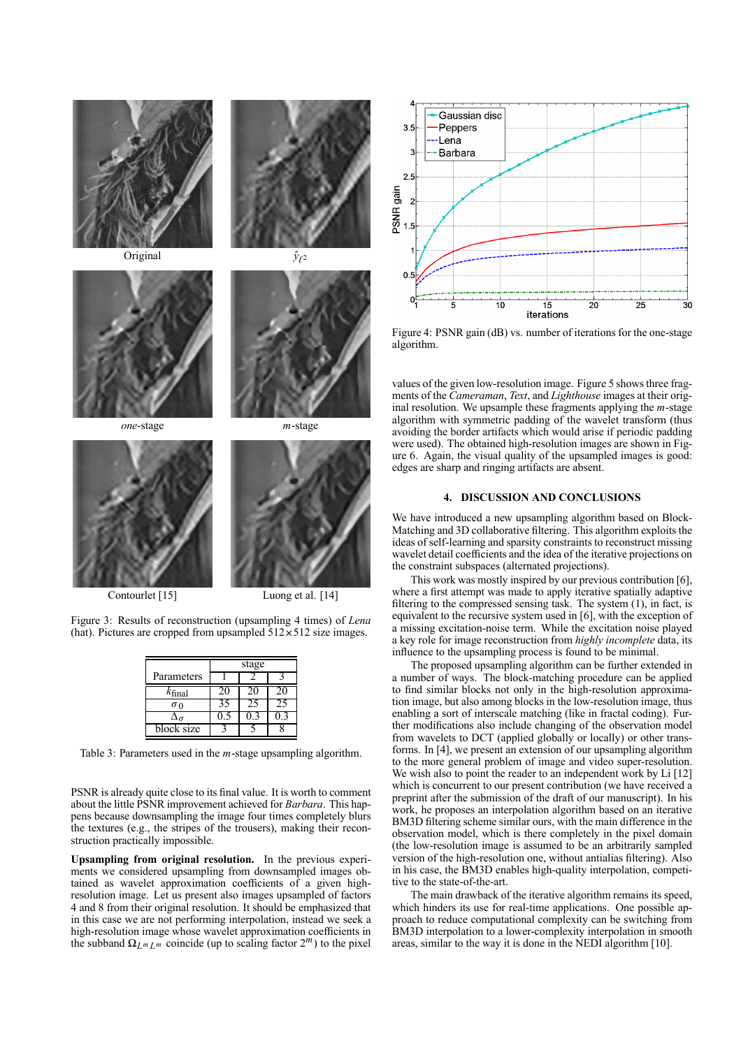









Contourlet [15] Luong et al. [14]

Figure 3: Results of reconstruction (upsampling 4 times) of *Lena* (hat). Pictures are cropped from upsampled  $512 \times 512$  size images.

|                    | stage |  |      |  |
|--------------------|-------|--|------|--|
| Parameters         |       |  |      |  |
| $k_{\text{final}}$ |       |  | 11 I |  |
| σο                 |       |  |      |  |
|                    |       |  |      |  |
| block size         |       |  |      |  |

Table 3: Parameters used in the *m*-stage upsampling algorithm.

PSNR is already quite close to its final value. It is worth to comment about the little PSNR improvement achieved for *Barbara*. This happens because downsampling the image four times completely blurs the textures (e.g., the stripes of the trousers), making their reconstruction practically impossible.

**Upsampling from original resolution.** In the previous experiments we considered upsampling from downsampled images obtained as wavelet approximation coefficients of a given highresolution image. Let us present also images upsampled of factors 4 and 8 from their original resolution. It should be emphasized that in this case we are not performing interpolation, instead we seek a high-resolution image whose wavelet approximation coefficients in the subband  $\Omega_{L^m L^m}$  coincide (up to scaling factor  $2^m$ ) to the pixel



Figure 4: PSNR gain (dB) vs. number of iterations for the one-stage algorithm.

values of the given low-resolution image. Figure 5 shows three fragments of the *Cameraman*, *Text*, and *Lighthouse* images at their original resolution. We upsample these fragments applying the *m*-stage algorithm with symmetric padding of the wavelet transform (thus avoiding the border artifacts which would arise if periodic padding were used). The obtained high-resolution images are shown in Figure 6. Again, the visual quality of the upsampled images is good: edges are sharp and ringing artifacts are absent.

## **4. DISCUSSION AND CONCLUSIONS**

We have introduced a new upsampling algorithm based on Block-Matching and 3D collaborative filtering. This algorithm exploits the ideas of self-learning and sparsity constraints to reconstruct missing wavelet detail coefficients and the idea of the iterative projections on the constraint subspaces (alternated projections).

This work was mostly inspired by our previous contribution [6], where a first attempt was made to apply iterative spatially adaptive filtering to the compressed sensing task. The system (1), in fact, is equivalent to the recursive system used in [6], with the exception of a missing excitation-noise term. While the excitation noise played a key role for image reconstruction from *highly incomplete* data, its influence to the upsampling process is found to be minimal.

The proposed upsampling algorithm can be further extended in a number of ways. The block-matching procedure can be applied to find similar blocks not only in the high-resolution approximation image, but also among blocks in the low-resolution image, thus enabling a sort of interscale matching (like in fractal coding). Further modifications also include changing of the observation model from wavelets to DCT (applied globally or locally) or other transforms. In [4], we present an extension of our upsampling algorithm to the more general problem of image and video super-resolution. We wish also to point the reader to an independent work by Li [12] which is concurrent to our present contribution (we have received a preprint after the submission of the draft of our manuscript). In his work, he proposes an interpolation algorithm based on an iterative BM3D filtering scheme similar ours, with the main difference in the observation model, which is there completely in the pixel domain (the low-resolution image is assumed to be an arbitrarily sampled version of the high-resolution one, without antialias filtering). Also in his case, the BM3D enables high-quality interpolation, competitive to the state-of-the-art.

The main drawback of the iterative algorithm remains its speed, which hinders its use for real-time applications. One possible approach to reduce computational complexity can be switching from BM3D interpolation to a lower-complexity interpolation in smooth areas, similar to the way it is done in the NEDI algorithm [10].